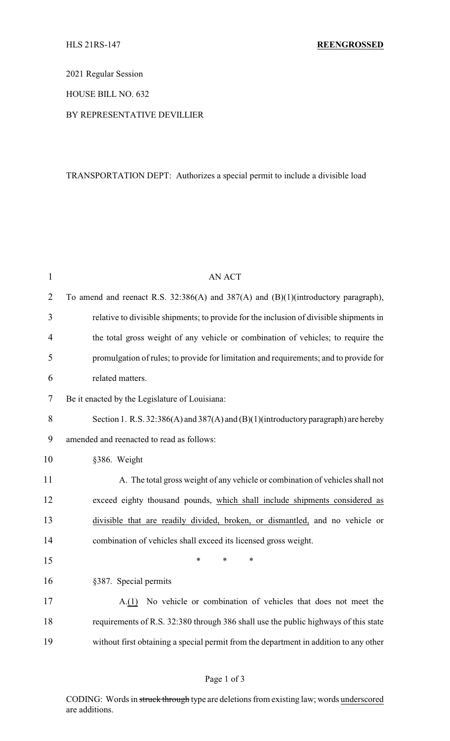2021 Regular Session

HOUSE BILL NO. 632

BY REPRESENTATIVE DEVILLIER

# TRANSPORTATION DEPT: Authorizes a special permit to include a divisible load

| $\mathbf{1}$   | <b>AN ACT</b>                                                                             |
|----------------|-------------------------------------------------------------------------------------------|
| $\overline{2}$ | To amend and reenact R.S. 32:386(A) and 387(A) and (B)(1)(introductory paragraph),        |
| 3              | relative to divisible shipments; to provide for the inclusion of divisible shipments in   |
| $\overline{4}$ | the total gross weight of any vehicle or combination of vehicles; to require the          |
| 5              | promulgation of rules; to provide for limitation and requirements; and to provide for     |
| 6              | related matters.                                                                          |
| $\tau$         | Be it enacted by the Legislature of Louisiana:                                            |
| 8              | Section 1. R.S. $32:386(A)$ and $387(A)$ and $(B)(1)$ (introductory paragraph) are hereby |
| 9              | amended and reenacted to read as follows:                                                 |
| 10             | §386. Weight                                                                              |
| 11             | A. The total gross weight of any vehicle or combination of vehicles shall not             |
| 12             | exceed eighty thousand pounds, which shall include shipments considered as                |
| 13             | divisible that are readily divided, broken, or dismantled, and no vehicle or              |
| 14             | combination of vehicles shall exceed its licensed gross weight.                           |
| 15             | *<br>*<br>*                                                                               |
| 16             | §387. Special permits                                                                     |
| 17             | A.(1) No vehicle or combination of vehicles that does not meet the                        |
| 18             | requirements of R.S. 32:380 through 386 shall use the public highways of this state       |
| 19             | without first obtaining a special permit from the department in addition to any other     |

# Page 1 of 3

CODING: Words in struck through type are deletions from existing law; words underscored are additions.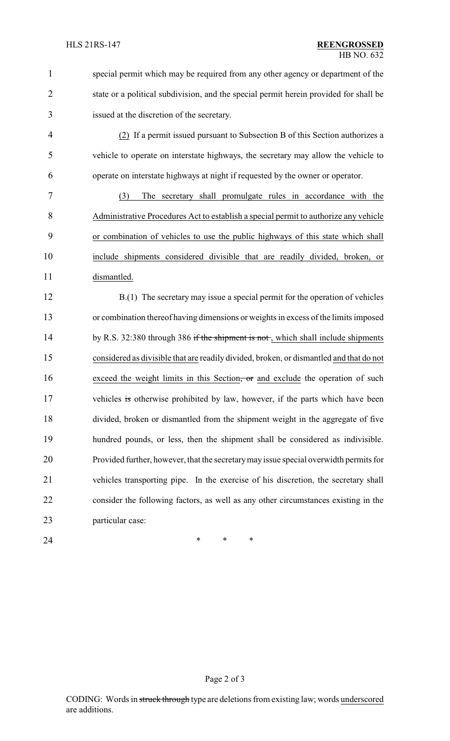|   | special permit which may be required from any other agency or department of the       |
|---|---------------------------------------------------------------------------------------|
|   | state or a political subdivision, and the special permit herein provided for shall be |
| 3 | issued at the discretion of the secretary.                                            |
| 4 | (2) If a permit issued pursuant to Subsection B of this Section authorizes a          |
|   |                                                                                       |

 vehicle to operate on interstate highways, the secretary may allow the vehicle to operate on interstate highways at night if requested by the owner or operator.

 (3) The secretary shall promulgate rules in accordance with the Administrative Procedures Act to establish a special permit to authorize any vehicle or combination of vehicles to use the public highways of this state which shall include shipments considered divisible that are readily divided, broken, or dismantled.

 B.(1) The secretary may issue a special permit for the operation of vehicles or combination thereof having dimensions or weights in excess of the limits imposed 14 by R.S. 32:380 through 386 if the shipment is not, which shall include shipments considered as divisible that are readily divided, broken, or dismantled and that do not 16 exceed the weight limits in this Section, or and exclude the operation of such 17 vehicles is otherwise prohibited by law, however, if the parts which have been divided, broken or dismantled from the shipment weight in the aggregate of five hundred pounds, or less, then the shipment shall be considered as indivisible. Provided further, however, that the secretarymay issue special overwidth permits for vehicles transporting pipe. In the exercise of his discretion, the secretary shall consider the following factors, as well as any other circumstances existing in the particular case:

**\*** \* \* \*